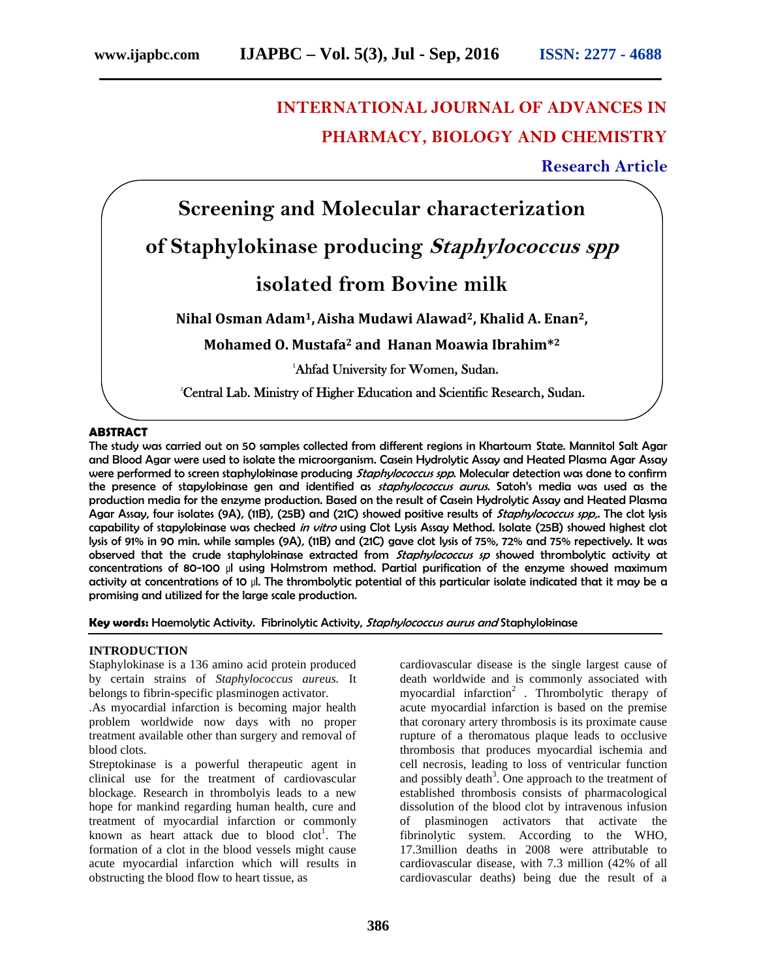# **INTERNATIONAL JOURNAL OF ADVANCES IN PHARMACY, BIOLOGY AND CHEMISTRY**

## **Research Article**



#### **ABSTRACT**

The study was carried out on 50 samples collected from different regions in Khartoum State. Mannitol Salt Agar and Blood Agar were used to isolate the microorganism. Casein Hydrolytic Assay and Heated Plasma Agar Assay were performed to screen staphylokinase producing *Staphylococcus spp*. Molecular detection was done to confirm the presence of stapylokinase gen and identified as *staphylococcus aurus*. Satoh's media was used as the production media for the enzyme production. Based on the result of Casein Hydrolytic Assay and Heated Plasma Agar Assay, four isolates (9A), (11B), (25B) and (21C) showed positive results of *Staphylococcus spp,.* The clot lysis capability of stapylokinase was checked *in vitro* using Clot Lysis Assay Method. Isolate (25B) showed highest clot lysis of 91% in 90 min. while samples (9A), (11B) and (21C) gave clot lysis of 75%, 72% and 75% repectively. It was observed that the crude staphylokinase extracted from *Staphylococcus sp* showed thrombolytic activity at concentrations of 80-100 μl using Holmstrom method. Partial purification of the enzyme showed maximum activity at concentrations of 10 μl. The thrombolytic potential of this particular isolate indicated that it may be a promising and utilized for the large scale production.

#### **Key words:** Haemolytic Activity. Fibrinolytic Activity, *Staphylococcus aurus and* Staphylokinase

#### **INTRODUCTION**

Staphylokinase is a 136 amino acid protein produced by certain strains of *Staphylococcus aureus.* It belongs to fibrin-specific plasminogen activator.

.As myocardial infarction is becoming major health problem worldwide now days with no proper treatment available other than surgery and removal of blood clots.

Streptokinase is a powerful therapeutic agent in clinical use for the treatment of cardiovascular blockage. Research in thrombolyis leads to a new hope for mankind regarding human health, cure and treatment of myocardial infarction or commonly known as heart attack due to blood clot<sup>1</sup>. The formation of a clot in the blood vessels might cause acute myocardial infarction which will results in obstructing the blood flow to heart tissue, as

cardiovascular disease is the single largest cause of death worldwide and is commonly associated with myocardial infarction<sup>2</sup>. Thrombolytic therapy of acute myocardial infarction is based on the premise that coronary artery thrombosis is its proximate cause rupture of a theromatous plaque leads to occlusive thrombosis that produces myocardial ischemia and cell necrosis, leading to loss of ventricular function and possibly death<sup>3</sup>. One approach to the treatment of established thrombosis consists of pharmacological dissolution of the blood clot by intravenous infusion of plasminogen activators that activate the fibrinolytic system. According to the WHO, 17.3million deaths in 2008 were attributable to cardiovascular disease, with 7.3 million (42% of all cardiovascular deaths) being due the result of a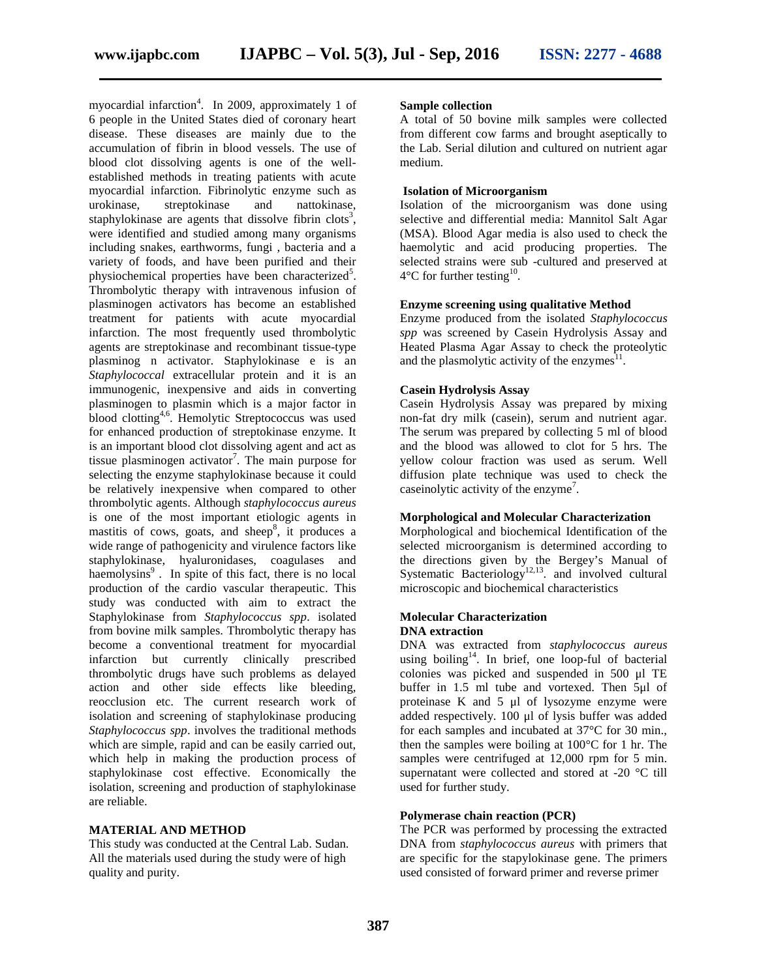myocardial infarction<sup>4</sup>. In 2009, approximately 1 of 6 people in the United States died of coronary heart disease. These diseases are mainly due to the accumulation of fibrin in blood vessels. The use of blood clot dissolving agents is one of the well established methods in treating patients with acute myocardial infarction. Fibrinolytic enzyme such as urokinase, streptokinase and nattokinase, staphylokinase are agents that dissolve fibrin clots<sup>3</sup>, were identified and studied among many organisms including snakes, earthworms, fungi , bacteria and a variety of foods, and have been purified and their physiochemical properties have been characterized<sup>5</sup>. Thrombolytic therapy with intravenous infusion of plasminogen activators has become an established treatment for patients with acute myocardial infarction. The most frequently used thrombolytic agents are streptokinase and recombinant tissue-type plasminog n activator. Staphylokinase e is an *Staphylococcal* extracellular protein and it is an immunogenic, inexpensive and aids in converting plasminogen to plasmin which is a major factor in **blood clotting**<sup>4,6</sup>. Hemolytic Streptococcus was used for enhanced production of streptokinase enzyme. It is an important blood clot dissolving agent and act as tissue plasminogen activator<sup>7</sup>. The main purpose for selecting the enzyme staphylokinase because it could be relatively inexpensive when compared to other thrombolytic agents. Although *staphylococcus aureus* is one of the most important etiologic agents in mastitis of cows, goats, and sheep<sup>8</sup>, it produces a wide range of pathogenicity and virulence factors like staphylokinase, hyaluronidases, coagulases and haemolysins<sup>9</sup>. In spite of this fact, there is no local production of the cardio vascular therapeutic. This study was conducted with aim to extract the Staphylokinase from *Staphylococcus spp*. isolated from bovine milk samples. Thrombolytic therapy has become a conventional treatment for myocardial infarction but currently clinically prescribed thrombolytic drugs have such problems as delayed action and other side effects like bleeding, reocclusion etc. The current research work of isolation and screening of staphylokinase producing *Staphylococcus spp*. involves the traditional methods which are simple, rapid and can be easily carried out, which help in making the production process of staphylokinase cost effective. Economically the isolation, screening and production of staphylokinase are reliable.

#### **MATERIAL AND METHOD**

This study was conducted at the Central Lab. Sudan. All the materials used during the study were of high quality and purity.

#### **Sample collection**

A total of 50 bovine milk samples were collected from different cow farms and brought aseptically to the Lab. Serial dilution and cultured on nutrient agar medium.

#### **Isolation of Microorganism**

Isolation of the microorganism was done using selective and differential media: Mannitol Salt Agar (MSA). Blood Agar media is also used to check the haemolytic and acid producing properties. The selected strains were sub -cultured and preserved at  $4^{\circ}$ C for further testing<sup>10</sup>.

#### **Enzyme screening using qualitative Method**

Enzyme produced from the isolated *Staphylococcus spp* was screened by Casein Hydrolysis Assay and Heated Plasma Agar Assay to check the proteolytic and the plasmolytic activity of the enzymes $11$ .

#### **Casein Hydrolysis Assay**

Casein Hydrolysis Assay was prepared by mixing non-fat dry milk (casein), serum and nutrient agar. The serum was prepared by collecting 5 ml of blood and the blood was allowed to clot for 5 hrs. The yellow colour fraction was used as serum. Well diffusion plate technique was used to check the case in olytic activity of the enzyme<sup>7</sup>.

#### **Morphological and Molecular Characterization**

Morphological and biochemical Identification of the selected microorganism is determined according to the directions given by the Bergey's Manual of Systematic Bacteriology<sup>12,13</sup> and involved cultural microscopic and biochemical characteristics

#### **Molecular Characterization DNA extraction**

DNA was extracted from *staphylococcus aureus* using boiling<sup>14</sup>. In brief, one loop-ful of bacterial colonies was picked and suspended in 500 μl TE buffer in 1.5 ml tube and vortexed. Then 5μl of proteinase K and 5 μl of lysozyme enzyme were added respectively. 100 μl of lysis buffer was added for each samples and incubated at 37°C for 30 min., then the samples were boiling at 100°C for 1 hr. The samples were centrifuged at 12,000 rpm for 5 min. supernatant were collected and stored at -20 °C till used for further study.

#### **Polymerase chain reaction (PCR)**

The PCR was performed by processing the extracted DNA from *staphylococcus aureus* with primers that are specific for the stapylokinase gene. The primers used consisted of forward primer and reverse primer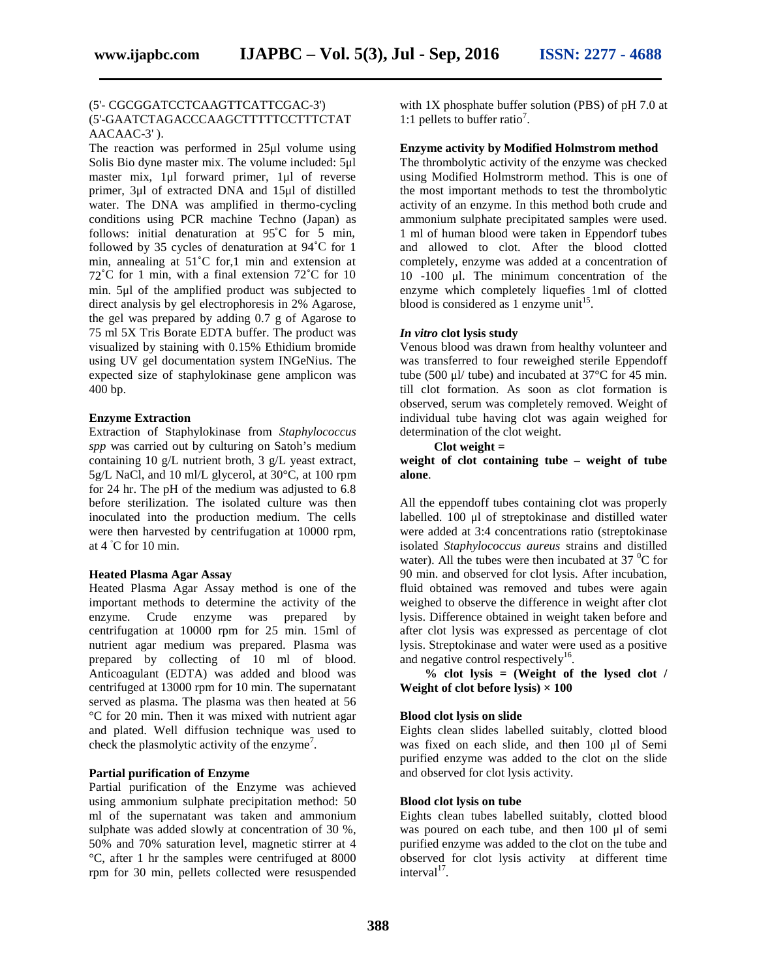#### (5'- CGCGGATCCTCAAGTTCATTCGAC-3') (5'-GAATCTAGACCCAAGCTTTTTCCTTTCTAT AACAAC-3' ).

The reaction was performed in 25μl volume using Solis Bio dyne master mix. The volume included: 5μl master mix, 1μl forward primer, 1μl of reverse primer, 3μl of extracted DNA and 15μl of distilled water. The DNA was amplified in thermo-cycling conditions using PCR machine Techno (Japan) as follows: initial denaturation at 95˚C for 5 min, followed by 35 cycles of denaturation at 94˚C for 1 min, annealing at 51˚C for,1 min and extension at 72˚C for 1 min, with a final extension 72˚C for 10 min. 5μl of the amplified product was subjected to direct analysis by gel electrophoresis in 2% Agarose, the gel was prepared by adding 0.7 g of Agarose to 75 ml 5X Tris Borate EDTA buffer. The product was visualized by staining with 0.15% Ethidium bromide using UV gel documentation system INGeNius. The expected size of staphylokinase gene amplicon was 400 bp.

#### **Enzyme Extraction**

Extraction of Staphylokinase from *Staphylococcus spp* was carried out by culturing on Satoh's medium containing 10 g/L nutrient broth, 3 g/L yeast extract, 5g/L NaCl, and 10 ml/L glycerol, at 30°C, at 100 rpm for 24 hr. The pH of the medium was adjusted to 6.8 before sterilization. The isolated culture was then inoculated into the production medium. The cells were then harvested by centrifugation at 10000 rpm, at 4 C for 10 min.

#### **Heated Plasma Agar Assay**

Heated Plasma Agar Assay method is one of the important methods to determine the activity of the enzyme. Crude enzyme was prepared by centrifugation at 10000 rpm for 25 min. 15ml of nutrient agar medium was prepared. Plasma was prepared by collecting of 10 ml of blood. Anticoagulant (EDTA) was added and blood was centrifuged at 13000 rpm for 10 min. The supernatant served as plasma. The plasma was then heated at 56 °C for 20 min. Then it was mixed with nutrient agar and plated. Well diffusion technique was used to check the plasmolytic activity of the enzyme<sup>7</sup>.

#### **Partial purification of Enzyme**

Partial purification of the Enzyme was achieved using ammonium sulphate precipitation method: 50 ml of the supernatant was taken and ammonium sulphate was added slowly at concentration of 30 %, 50% and 70% saturation level, magnetic stirrer at 4 °C, after 1 hrthe samples were centrifuged at 8000 rpm for 30 min, pellets collected were resuspended

with 1X phosphate buffer solution (PBS) of pH 7.0 at 1:1 pellets to buffer ratio<sup>7</sup>.

#### **Enzyme activity by Modified Holmstrom method**

The thrombolytic activity of the enzyme was checked using Modified Holmstrorm method. This is one of the most important methods to test the thrombolytic activity of an enzyme. In this method both crude and ammonium sulphate precipitated samples were used. 1 ml of human blood were taken in Eppendorf tubes and allowed to clot. After the blood clotted completely, enzyme was added at a concentration of 10 -100 μl. The minimum concentration of the enzyme which completely liquefies 1ml of clotted blood is considered as 1 enzyme unit<sup>15</sup>.

#### *In vitro* **clot lysis study**

Venous blood was drawn from healthy volunteer and was transferred to four reweighed sterile Eppendoff tube (500 μl/ tube) and incubated at 37°C for 45 min. till clot formation. As soon as clot formation is observed, serum was completely removed. Weight of individual tube having clot was again weighed for determination of the clot weight.

#### **Clot weight =**

**weight of clot containing tube – weight of tube alone**.

All the eppendoff tubes containing clot was properly labelled. 100 μl of streptokinase and distilled water were added at 3:4 concentrations ratio (streptokinase isolated *Staphylococcus aureus* strains and distilled water). All the tubes were then incubated at  $37 \degree$ C for 90 min. and observed for clot lysis. After incubation, fluid obtained was removed and tubes were again weighed to observe the difference in weight after clot lysis. Difference obtained in weight taken before and after clot lysis was expressed as percentage of clot lysis. Streptokinase and water were used as a positive and negative control respectively $^{16}$ .

**% clot lysis = (Weight of the lysed clot / Weight of clot before lysis)**  $\times$  100

#### **Blood clot lysis on slide**

Eights clean slides labelled suitably, clotted blood was fixed on each slide, and then 100 μl of Semi purified enzyme was added to the clot on the slide and observed for clot lysis activity.

#### **Blood clot lysis on tube**

Eights clean tubes labelled suitably, clotted blood was poured on each tube, and then 100 μl of semi purified enzyme was added to the clot on the tube and observed for clot lysis activity at different time  $interval<sup>17</sup>$ .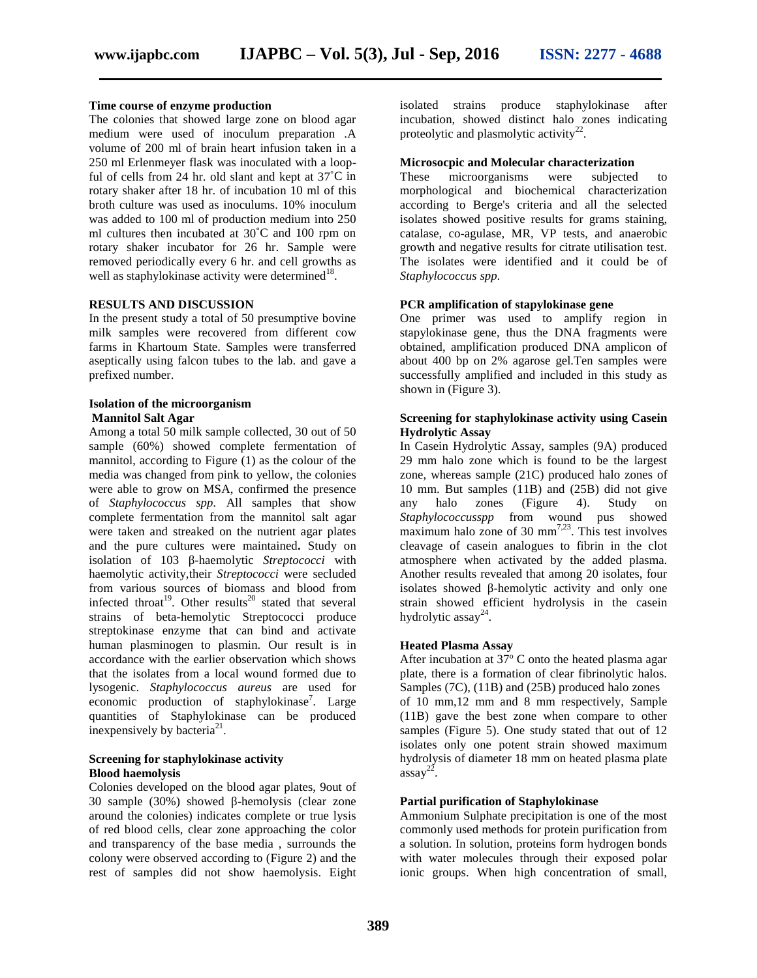#### **Time course of enzyme production**

The colonies that showed large zone on blood agar medium were used of inoculum preparation .A volume of 200 ml of brain heart infusion taken in a 250 ml Erlenmeyer flask was inoculated with a loopful of cells from 24 hr. old slant and kept at  $37^{\circ}$ C in These rotary shaker after 18 hr. of incubation 10 ml of this broth culture was used as inoculums. 10% inoculum was added to 100 ml of production medium into 250 ml cultures then incubated at 30˚C and 100 rpm on rotary shaker incubator for 26 hr. Sample were removed periodically every 6 hr. and cell growths as well as staphylokinase activity were determined<sup>18</sup>.

#### **RESULTS AND DISCUSSION**

In the present study a total of 50 presumptive bovine milk samples were recovered from different cow farms in Khartoum State. Samples were transferred aseptically using falcon tubes to the lab. and gave a prefixed number.

#### **Isolation of the microorganism Mannitol Salt Agar**

Among a total 50 milk sample collected, 30 out of 50 sample (60%) showed complete fermentation of mannitol, according to Figure (1) as the colour of the media was changed from pink to yellow, the colonies were able to grow on MSA, confirmed the presence of *Staphylococcus spp.* All samples that show complete fermentation from the mannitol salt agar were taken and streaked on the nutrient agar plates and the pure cultures were maintained**.** Study on isolation of 103 -haemolytic *Streptococci* with haemolytic activity,their *Streptococci* were secluded from various sources of biomass and blood from infected throat<sup>19</sup>. Other results<sup>20</sup> stated that several strains of beta-hemolytic Streptococci produce streptokinase enzyme that can bind and activate human plasminogen to plasmin. Our result is in accordance with the earlier observation which shows that the isolates from a local wound formed due to lysogenic. *Staphylococcus aureus* are used for economic production of staphylokinase<sup>7</sup>. Large quantities of Staphylokinase can be produced inexpensively by bacteria<sup>21</sup>.

#### **Screening for staphylokinase activity Blood haemolysis**

Colonies developed on the blood agar plates, 9out of 30 sample (30%) showed -hemolysis (clear zone around the colonies) indicates complete or true lysis of red blood cells, clear zone approaching the color and transparency of the base media , surrounds the colony were observed according to (Figure 2) and the rest of samples did not show haemolysis. Eight

isolated strains produce staphylokinase after incubation, showed distinct halo zones indicating proteolytic and plasmolytic activity<sup>22</sup>.

#### **Microsocpic and Molecular characterization**

microorganisms were subjected to morphological and biochemical characterization according to Berge's criteria and all the selected isolates showed positive results for grams staining, catalase, co-agulase, MR, VP tests, and anaerobic growth and negative results for citrate utilisation test. The isolates were identified and it could be of *Staphylococcus spp.*

#### **PCR amplification of stapylokinase gene**

One primer was used to amplify region in stapylokinase gene, thus the DNA fragments were obtained, amplification produced DNA amplicon of about 400 bp on 2% agarose gel.Ten samples were successfully amplified and included in this study as shown in (Figure 3).

#### **Screening for staphylokinase activity using Casein Hydrolytic Assay**

In Casein Hydrolytic Assay, samples (9A) produced 29 mm halo zone which is found to be the largest zone, whereas sample (21C) produced halo zones of 10 mm. But samples (11B) and (25B) did not give halo zones (Figure 4). Study on *Staphylococcusspp* from wound pus showed maximum halo zone of 30  $\text{mm}^{7,23}$ . This test involves cleavage of casein analogues to fibrin in the clot atmosphere when activated by the added plasma. Another results revealed that among 20 isolates, four isolates showed -hemolytic activity and only one strain showed efficient hydrolysis in the casein hydrolytic assay<sup>24</sup>.

#### **Heated Plasma Assay**

After incubation at  $37^{\circ}$  C onto the heated plasma agar plate, there is a formation of clear fibrinolytic halos. Samples (7C), (11B) and (25B) produced halo zones of 10 mm,12 mm and 8 mm respectively, Sample (11B) gave the best zone when compare to other samples (Figure 5). One study stated that out of 12 isolates only one potent strain showed maximum hydrolysis of diameter 18 mm on heated plasma plate  $\frac{1}{2}$  assay<sup>22</sup>.

#### **Partial purification of Staphylokinase**

Ammonium Sulphate precipitation is one of the most commonly used methods for protein purification from a solution. In solution, proteins form hydrogen bonds with water molecules through their exposed polar ionic groups. When high concentration of small,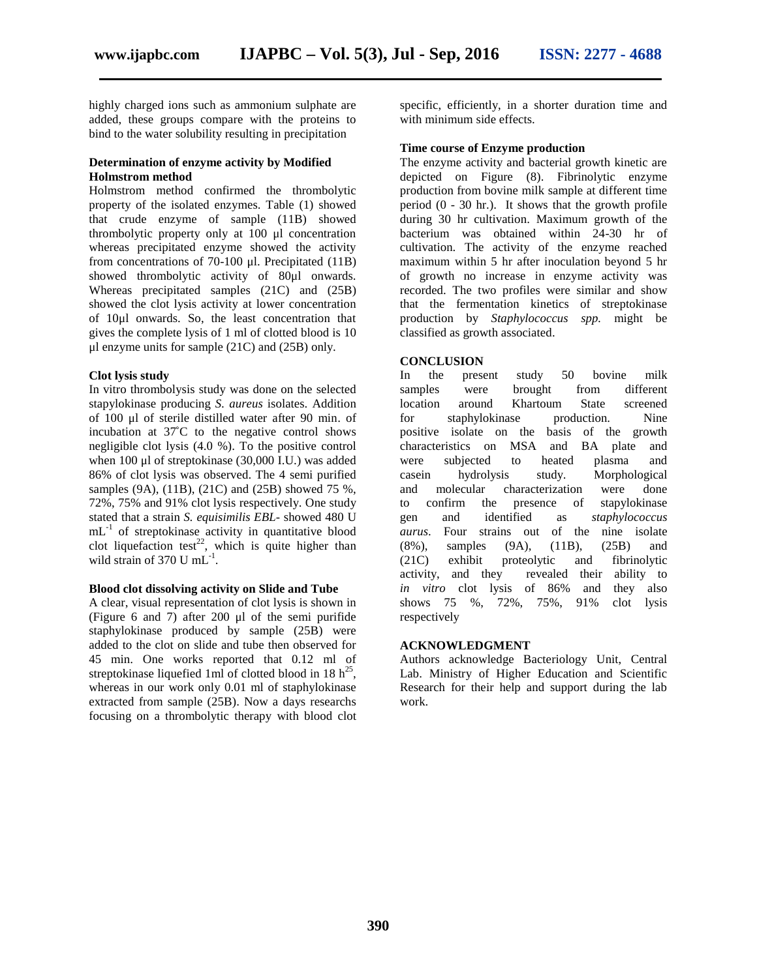highly charged ions such as ammonium sulphate are added, these groups compare with the proteins to bind to the water solubility resulting in precipitation

#### **Determination of enzyme activity by Modified Holmstrom method**

Holmstrom method confirmed the thrombolytic property of the isolated enzymes. Table (1) showed that crude enzyme of sample (11B) showed thrombolytic property only at 100 μl concentration whereas precipitated enzyme showed the activity from concentrations of 70-100 μl. Precipitated (11B) showed thrombolytic activity of 80μl onwards. Whereas precipitated samples (21C) and (25B) showed the clot lysis activity at lower concentration of 10μl onwards. So, the least concentration that gives the complete lysis of 1 ml of clotted blood is 10 μl enzyme units for sample (21C) and (25B) only.

#### **Clot lysis study**

In vitro thrombolysis study was done on the selected stapylokinase producing *S. aureus* isolates. Addition of 100 μl of sterile distilled water after 90 min. of incubation at 37˚C to the negative control shows negligible clot lysis (4.0 %). To the positive control when 100 μl of streptokinase (30,000 I.U.) was added were 86% of clot lysis was observed. The 4 semi purified samples (9A), (11B), (21C) and (25B) showed 75 %, 72%, 75% and 91% clot lysis respectively. One study stated that a strain *S. equisimilis EBL*- showed 480 U  $mL^{-1}$  of streptokinase activity in quantitative blood *aurus*. clot liquefaction test<sup>22</sup>, which is quite higher than  $(8\%)$ , wild strain of 370 U mL<sup>-1</sup> .

#### **Blood clot dissolving activity on Slide and Tube**

A clear, visual representation of clot lysis is shown in (Figure 6 and 7) after 200 μl of the semi purifide staphylokinase produced by sample (25B) were added to the clot on slide and tube then observed for 45 min. One works reported that 0.12 ml of streptokinase liquefied 1 ml of clotted blood in 18  $h^{25}$ , whereas in our work only 0.01 ml of staphylokinase extracted from sample (25B). Now a days researchs focusing on a thrombolytic therapy with blood clot

specific, efficiently, in a shorter duration time and with minimum side effects.

#### **Time course of Enzyme production**

The enzyme activity and bacterial growth kinetic are depicted on Figure (8). Fibrinolytic enzyme production from bovine milk sample at different time period (0 - 30 hr.). It shows that the growth profile during 30 hr cultivation. Maximum growth of the bacterium was obtained within 24-30 hr of cultivation. The activity of the enzyme reached maximum within 5 hr after inoculation beyond 5 hr of growth no increase in enzyme activity was recorded. The two profiles were similar and show that the fermentation kinetics of streptokinase production by *Staphylococcus spp.* might be classified as growth associated.

#### **CONCLUSION**

In the present study 50 bovine milk were brought from different around Khartoum State screened for staphylokinase production. Nine positive isolate on the basis of the growth characteristics on MSA and BA plate and subjected to heated plasma and hydrolysis study. Morphological and molecular characterization were done confirm the presence of stapylokinase and identified as *staphylococcus* Four strains out of the nine isolate samples (9A), (11B), (25B) and (21C) exhibit proteolytic and fibrinolytic activity, and they revealed their ability to *in vitro* clot lysis of 86% and they also shows 75 %, 72%, 75%, 91% clot lysis respectively

#### **ACKNOWLEDGMENT**

Authors acknowledge Bacteriology Unit, Central Lab. Ministry of Higher Education and Scientific Research for their help and support during the lab work.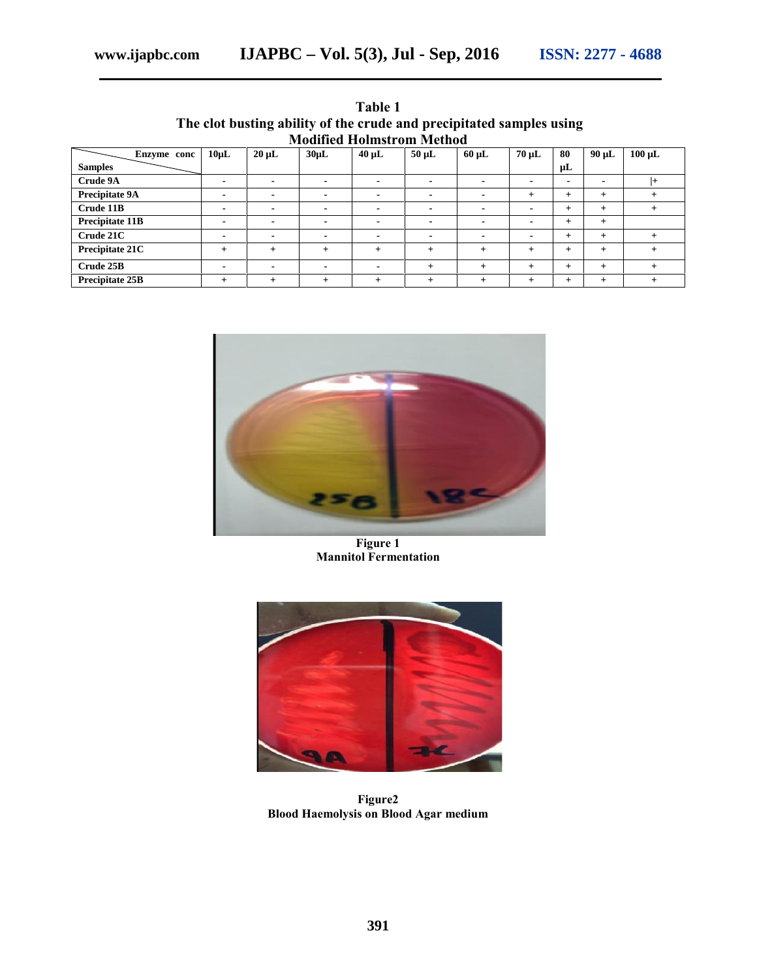|                                                                      |       |                 |                  | Table 1 |       |       |        |    |      |  |  |  |  |
|----------------------------------------------------------------------|-------|-----------------|------------------|---------|-------|-------|--------|----|------|--|--|--|--|
| The clot busting ability of the crude and precipitated samples using |       |                 |                  |         |       |       |        |    |      |  |  |  |  |
| <b>Modified Holmstrom Method</b>                                     |       |                 |                  |         |       |       |        |    |      |  |  |  |  |
| conc                                                                 | 10oT. | $20 \text{ nL}$ | 30 <sub>II</sub> | $40$ uL | 50 uL | -60 H | 70 H I | 80 | 90nL |  |  |  |  |

| Enzyme conc            | $10 \mu L$               | $20 \mu L$ | $30\mu L$ | $40 \mu L$ | $50 \mu L$     | $60 \mu L$               | $70 \mu L$               | 80             | $90 \mu L$     | $100 \mu L$ |
|------------------------|--------------------------|------------|-----------|------------|----------------|--------------------------|--------------------------|----------------|----------------|-------------|
| <b>Samples</b>         |                          |            |           |            |                |                          |                          | μL             |                |             |
| Crude 9A               | $\overline{\phantom{0}}$ |            |           |            | $\blacksquare$ |                          | $\overline{\phantom{0}}$ | $\blacksquare$ | $\blacksquare$ | l+          |
| Precipitate 9A         |                          |            |           |            | $\blacksquare$ |                          |                          | $^{+}$         | $+$            |             |
| Crude 11B              | $\overline{\phantom{0}}$ |            |           |            | $\blacksquare$ | -                        | $\overline{\phantom{0}}$ | $^{+}$         | $^{+}$         |             |
| Precipitate 11B        |                          |            |           |            | $\blacksquare$ | $\overline{\phantom{a}}$ | $\overline{\phantom{0}}$ | $^{+}$         | $+$            |             |
| Crude 21C              |                          |            |           |            | $\blacksquare$ | -                        | $\overline{\phantom{0}}$ | $^{+}$         | $+$            | $^{+}$      |
| Precipitate 21C        |                          | $+$        | $\ddot{}$ | $^{+}$     | $+$            | $+$                      |                          | $^{+}$         | $+$            | $^{+}$      |
| Crude 25B              |                          |            |           |            | $\ddot{}$      | $+$                      |                          | $^{+}$         | $+$            |             |
| <b>Precipitate 25B</b> |                          |            |           |            |                | $\div$                   |                          | $^{+}$         | $^{+}$         |             |



**Figure 1 Mannitol Fermentation**



**Figure2 Blood Haemolysis on Blood Agar medium**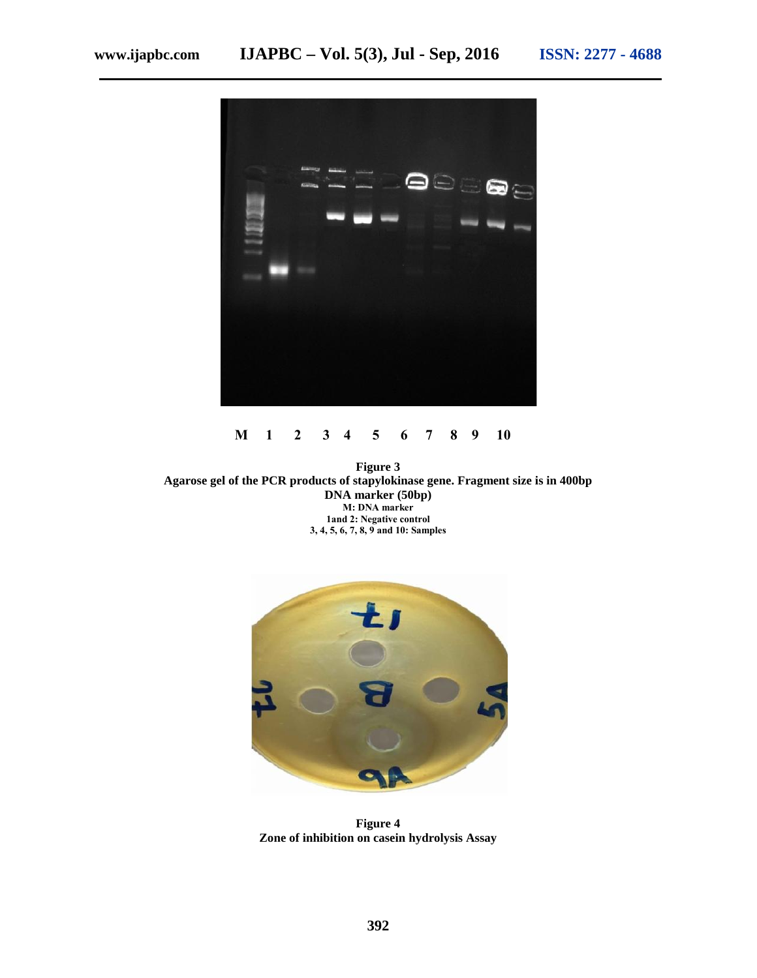

### **M 1 2 3 4 5 6 7 8 9 10**

**Figure 3 Agarose gel of the PCR products of stapylokinase gene. Fragment size is in 400bp DNA marker (50bp) M: DNA marker 1and 2: Negative control 3, 4, 5, 6, 7, 8, 9 and 10: Samples**



**Figure 4 Zone of inhibition on casein hydrolysis Assay**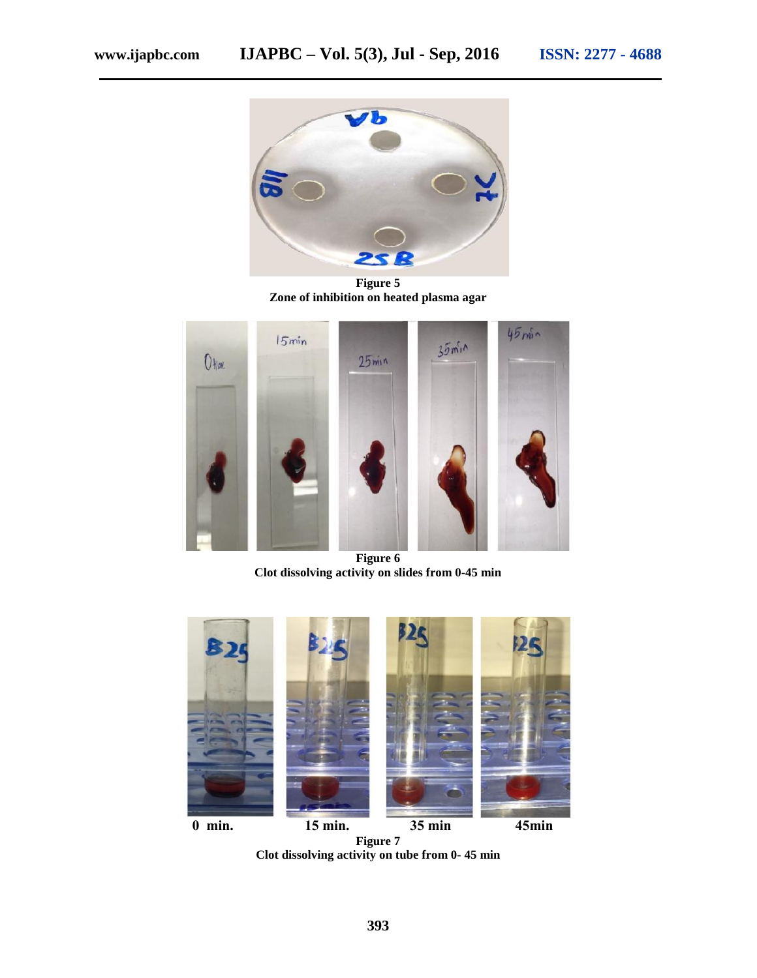

**Figure 5 Zone of inhibition on heated plasma agar**



**Figure 6 Clot dissolving activity on slides from 0-45 min**



**Clot dissolving activity on tube from 0- 45 min**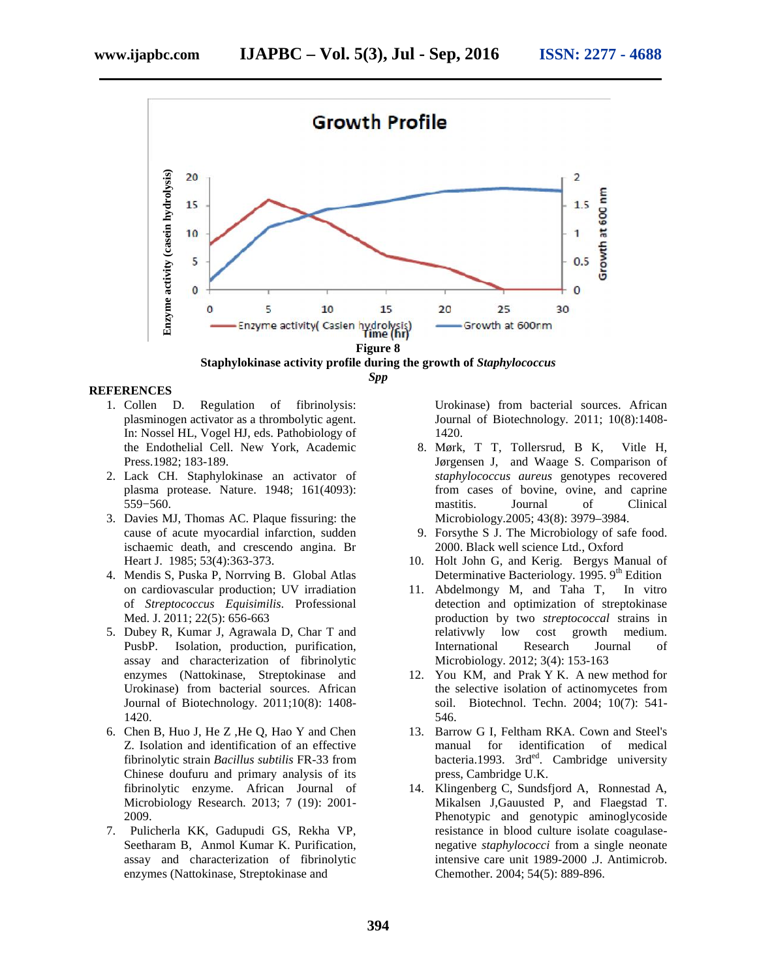

*Spp*

#### **REFERENCES**

- 1. Collen D. Regulation of fibrinolysis: plasminogen activator as a thrombolytic agent. In: Nossel HL, Vogel HJ, eds. Pathobiology of the Endothelial Cell. New York, Academic Press.1982; 183-189.
- 2. Lack CH. Staphylokinase an activator of plasma protease. Nature. 1948; 161(4093): 559−560.
- 3. Davies MJ, Thomas AC. Plaque fissuring: the cause of acute myocardial infarction, sudden ischaemic death, and crescendo angina. Br Heart J. 1985; 53(4):363-373.
- 4. Mendis S, Puska P, Norrving B. Global Atlas on cardiovascular production; UV irradiation of *Streptococcus Equisimilis*. Professional Med. J. 2011; 22(5): 656-663
- 5. Dubey R, Kumar J, Agrawala D, Char T and PusbP. Isolation, production, purification, assay and characterization of fibrinolytic enzymes (Nattokinase, Streptokinase and Urokinase) from bacterial sources. African Journal of Biotechnology. 2011;10(8): 1408- 1420.
- 6. Chen B, Huo J, He Z ,He Q, Hao Y and Chen Z. Isolation and identification of an effective fibrinolytic strain *Bacillus subtilis* FR-33 from Chinese doufuru and primary analysis of its fibrinolytic enzyme. African Journal of Microbiology Research. 2013; 7 (19): 2001- 2009.
- 7. Pulicherla KK, Gadupudi GS, Rekha VP, Seetharam B, Anmol Kumar K. Purification, assay and characterization of fibrinolytic enzymes (Nattokinase, Streptokinase and

Urokinase) from bacterial sources. African Journal of Biotechnology. 2011; 10(8):1408- 1420.

- 8. Mørk, T T, Tollersrud, B K, Vitle H, Jørgensen J, and Waage S. Comparison of *staphylococcus aureus* genotypes recovered from cases of bovine, ovine, and caprine mastitis. Journal of Clinical Microbiology.2005; 43(8): 3979–3984.
- 9. Forsythe S J. The Microbiology of safe food. 2000. Black well science Ltd., Oxford
- 10. Holt John G, and Kerig. Bergys Manual of Determinative Bacteriology. 1995. 9<sup>th</sup> Edition
- 11. Abdelmongy M, and Taha T, In vitro detection and optimization of streptokinase production by two *streptococcal* strains in relativwly low cost growth medium. International Research Journal of Microbiology. 2012; 3(4): 153-163
- 12. You KM, and Prak Y K. A new method for the selective isolation of actinomycetes from soil. Biotechnol. Techn. 2004; 10(7): 541- 546.
- 13. Barrow G I, Feltham RKA. Cown and Steel's manual for identification of medical bacteria.1993.  $3rd^{ed}$ . Cambridge university press, Cambridge U.K.
- 14. Klingenberg C, Sundsfjord A, Ronnestad A, Mikalsen J,Gauusted P, and Flaegstad T. Phenotypic and genotypic aminoglycoside resistance in blood culture isolate coagulase negative *staphylococci* from a single neonate intensive care unit 1989-2000 .J. Antimicrob. Chemother. 2004; 54(5): 889-896.